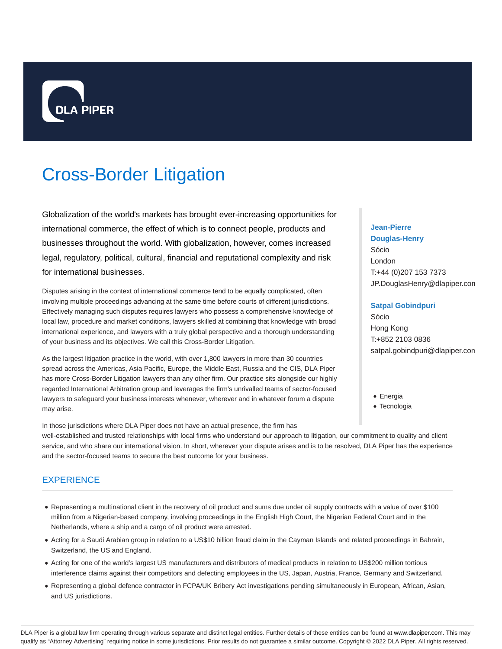

# Cross-Border Litigation

Globalization of the world's markets has brought ever-increasing opportunities for international commerce, the effect of which is to connect people, products and businesses throughout the world. With globalization, however, comes increased legal, regulatory, political, cultural, financial and reputational complexity and risk for international businesses.

Disputes arising in the context of international commerce tend to be equally complicated, often involving multiple proceedings advancing at the same time before courts of different jurisdictions. Effectively managing such disputes requires lawyers who possess a comprehensive knowledge of local law, procedure and market conditions, lawyers skilled at combining that knowledge with broad international experience, and lawyers with a truly global perspective and a thorough understanding of your business and its objectives. We call this Cross-Border Litigation.

As the largest litigation practice in the world, with over 1,800 lawyers in more than 30 countries spread across the Americas, Asia Pacific, Europe, the Middle East, Russia and the CIS, DLA Piper has more Cross-Border Litigation lawyers than any other firm. Our practice sits alongside our highly regarded International Arbitration group and leverages the firm's unrivalled teams of sector-focused lawyers to safeguard your business interests whenever, wherever and in whatever forum a dispute may arise.

# **Jean-Pierre Douglas-Henry** Sócio London T:+44 (0)207 153 7373 JP.DouglasHenry@dlapiper.com

## **Satpal Gobindpuri**

Sócio Hong Kong T:+852 2103 0836 satpal.gobindpuri@dlapiper.com

- Energia
- Tecnologia

In those jurisdictions where DLA Piper does not have an actual presence, the firm has well-established and trusted relationships with local firms who understand our approach to litigation, our commitment to quality and client service, and who share our international vision. In short, wherever your dispute arises and is to be resolved, DLA Piper has the experience and the sector-focused teams to secure the best outcome for your business.

# **EXPERIENCE**

- Representing a multinational client in the recovery of oil product and sums due under oil supply contracts with a value of over \$100 million from a Nigerian-based company, involving proceedings in the English High Court, the Nigerian Federal Court and in the Netherlands, where a ship and a cargo of oil product were arrested.
- Acting for a Saudi Arabian group in relation to a US\$10 billion fraud claim in the Cayman Islands and related proceedings in Bahrain, Switzerland, the US and England.
- Acting for one of the world's largest US manufacturers and distributors of medical products in relation to US\$200 million tortious interference claims against their competitors and defecting employees in the US, Japan, Austria, France, Germany and Switzerland.
- Representing a global defence contractor in FCPA/UK Bribery Act investigations pending simultaneously in European, African, Asian, and US jurisdictions.

DLA Piper is a global law firm operating through various separate and distinct legal entities. Further details of these entities can be found at www.dlapiper.com. This may qualify as "Attorney Advertising" requiring notice in some jurisdictions. Prior results do not guarantee a similar outcome. Copyright @ 2022 DLA Piper. All rights reserved.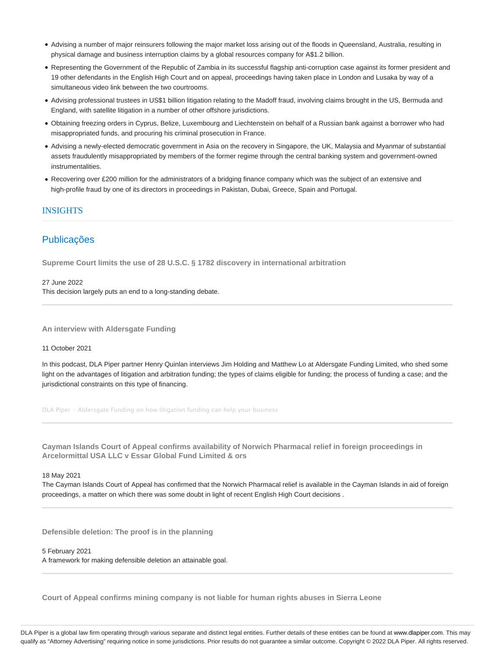- Advising a number of major reinsurers following the major market loss arising out of the floods in Queensland, Australia, resulting in physical damage and business interruption claims by a global resources company for A\$1.2 billion.
- Representing the Government of the Republic of Zambia in its successful flagship anti-corruption case against its former president and 19 other defendants in the English High Court and on appeal, proceedings having taken place in London and Lusaka by way of a simultaneous video link between the two courtrooms.
- Advising professional trustees in US\$1 billion litigation relating to the Madoff fraud, involving claims brought in the US, Bermuda and England, with satellite litigation in a number of other offshore jurisdictions.
- Obtaining freezing orders in Cyprus, Belize, Luxembourg and Liechtenstein on behalf of a Russian bank against a borrower who had misappropriated funds, and procuring his criminal prosecution in France.
- Advising a newly-elected democratic government in Asia on the recovery in Singapore, the UK, Malaysia and Myanmar of substantial assets fraudulently misappropriated by members of the former regime through the central banking system and government-owned instrumentalities.
- Recovering over £200 million for the administrators of a bridging finance company which was the subject of an extensive and high-profile fraud by one of its directors in proceedings in Pakistan, Dubai, Greece, Spain and Portugal.

## INSIGHTS

# **Publicações**

**Supreme Court limits the use of 28 U.S.C. § 1782 discovery in international arbitration**

27 June 2022 This decision largely puts an end to a long-standing debate.

**An interview with Aldersgate Funding**

#### 11 October 2021

In this podcast, DLA Piper partner Henry Quinlan interviews Jim Holding and Matthew Lo at Aldersgate Funding Limited, who shed some light on the advantages of litigation and arbitration funding; the types of claims eligible for funding; the process of funding a case; and the jurisdictional constraints on this type of financing.

DLA Piper · Aldersgate Funding on how litigation funding can help your business

**Cayman Islands Court of Appeal confirms availability of Norwich Pharmacal relief in foreign proceedings in Arcelormittal USA LLC v Essar Global Fund Limited & ors**

18 May 2021

The Cayman Islands Court of Appeal has confirmed that the Norwich Pharmacal relief is available in the Cayman Islands in aid of foreign proceedings, a matter on which there was some doubt in light of recent English High Court decisions .

**Defensible deletion: The proof is in the planning**

5 February 2021

A framework for making defensible deletion an attainable goal.

**Court of Appeal confirms mining company is not liable for human rights abuses in Sierra Leone**

DLA Piper is a global law firm operating through various separate and distinct legal entities. Further details of these entities can be found at www.dlapiper.com. This may qualify as "Attorney Advertising" requiring notice in some jurisdictions. Prior results do not guarantee a similar outcome. Copyright @ 2022 DLA Piper. All rights reserved.